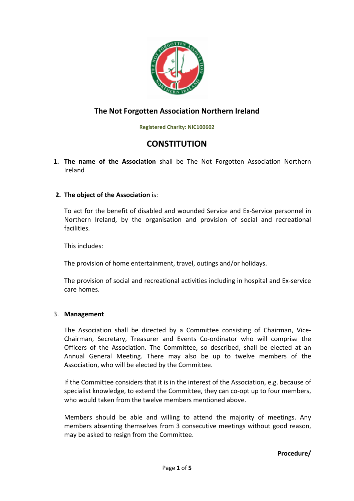

# **The Not Forgotten Association Northern Ireland**

**Registered Charity: NIC100602** 

# **CONSTITUTION**

**1. The name of the Association** shall be The Not Forgotten Association Northern Ireland

# **2. The object of the Association** is:

To act for the benefit of disabled and wounded Service and Ex-Service personnel in Northern Ireland, by the organisation and provision of social and recreational facilities.

This includes:

The provision of home entertainment, travel, outings and/or holidays.

The provision of social and recreational activities including in hospital and Ex-service care homes.

# 3. **Management**

The Association shall be directed by a Committee consisting of Chairman, Vice-Chairman, Secretary, Treasurer and Events Co-ordinator who will comprise the Officers of the Association. The Committee, so described, shall be elected at an Annual General Meeting. There may also be up to twelve members of the Association, who will be elected by the Committee.

If the Committee considers that it is in the interest of the Association, e.g. because of specialist knowledge, to extend the Committee, they can co-opt up to four members, who would taken from the twelve members mentioned above

Members should be able and willing to attend the majority of meetings. Any members absenting themselves from 3 consecutive meetings without good reason, may be asked to resign from the Committee.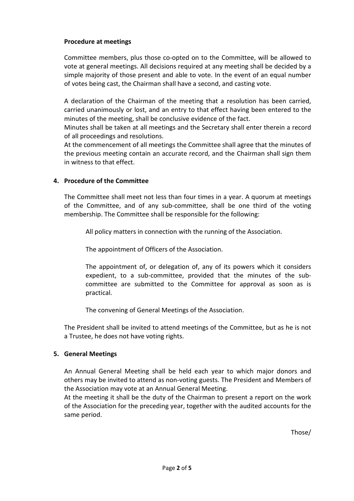# **Procedure at meetings**

Committee members, plus those co-opted on to the Committee, will be allowed to vote at general meetings. All decisions required at any meeting shall be decided by a simple majority of those present and able to vote. In the event of an equal number of votes being cast, the Chairman shall have a second, and casting vote.

A declaration of the Chairman of the meeting that a resolution has been carried, carried unanimously or lost, and an entry to that effect having been entered to the minutes of the meeting, shall be conclusive evidence of the fact.

Minutes shall be taken at all meetings and the Secretary shall enter therein a record of all proceedings and resolutions.

At the commencement of all meetings the Committee shall agree that the minutes of the previous meeting contain an accurate record, and the Chairman shall sign them in witness to that effect.

#### **4. Procedure of the Committee**

The Committee shall meet not less than four times in a year. A quorum at meetings of the Committee, and of any sub-committee, shall be one third of the voting membership. The Committee shall be responsible for the following:

All policy matters in connection with the running of the Association.

The appointment of Officers of the Association.

The appointment of, or delegation of, any of its powers which it considers expedient, to a sub-committee, provided that the minutes of the subcommittee are submitted to the Committee for approval as soon as is practical.

The convening of General Meetings of the Association.

The President shall be invited to attend meetings of the Committee, but as he is not a Trustee, he does not have voting rights.

#### **5. General Meetings**

An Annual General Meeting shall be held each year to which major donors and others may be invited to attend as non-voting guests. The President and Members of the Association may vote at an Annual General Meeting.

At the meeting it shall be the duty of the Chairman to present a report on the work of the Association for the preceding year, together with the audited accounts for the same period.

Those/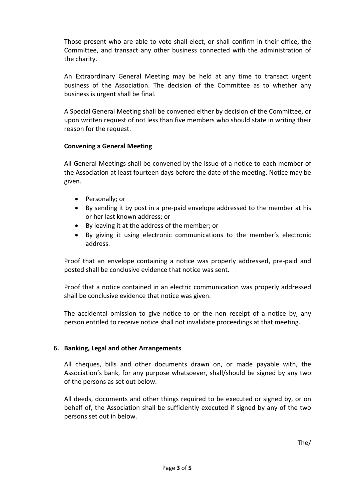Those present who are able to vote shall elect, or shall confirm in their office, the Committee, and transact any other business connected with the administration of the charity.

An Extraordinary General Meeting may be held at any time to transact urgent business of the Association. The decision of the Committee as to whether any business is urgent shall be final.

A Special General Meeting shall be convened either by decision of the Committee, or upon written request of not less than five members who should state in writing their reason for the request.

#### **Convening a General Meeting**

All General Meetings shall be convened by the issue of a notice to each member of the Association at least fourteen days before the date of the meeting. Notice may be given.

- Personally; or
- By sending it by post in a pre-paid envelope addressed to the member at his or her last known address; or
- By leaving it at the address of the member; or
- By giving it using electronic communications to the member's electronic address.

Proof that an envelope containing a notice was properly addressed, pre-paid and posted shall be conclusive evidence that notice was sent.

Proof that a notice contained in an electric communication was properly addressed shall be conclusive evidence that notice was given.

The accidental omission to give notice to or the non receipt of a notice by, any person entitled to receive notice shall not invalidate proceedings at that meeting.

# **6. Banking, Legal and other Arrangements**

All cheques, bills and other documents drawn on, or made payable with, the Association's bank, for any purpose whatsoever, shall/should be signed by any two of the persons as set out below.

All deeds, documents and other things required to be executed or signed by, or on behalf of, the Association shall be sufficiently executed if signed by any of the two persons set out in below.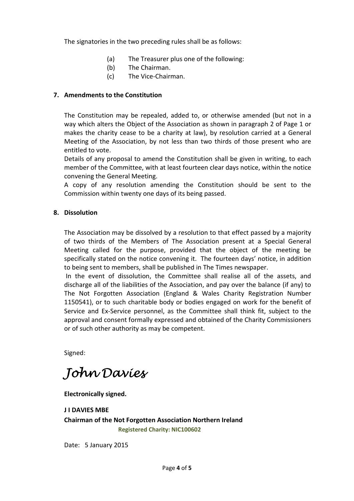The signatories in the two preceding rules shall be as follows:

- (a) The Treasurer plus one of the following:
- (b) The Chairman.
- (c) The Vice-Chairman.

#### **7. Amendments to the Constitution**

The Constitution may be repealed, added to, or otherwise amended (but not in a way which alters the Object of the Association as shown in paragraph 2 of Page 1 or makes the charity cease to be a charity at law), by resolution carried at a General Meeting of the Association, by not less than two thirds of those present who are entitled to vote.

Details of any proposal to amend the Constitution shall be given in writing, to each member of the Committee, with at least fourteen clear days notice, within the notice convening the General Meeting.

A copy of any resolution amending the Constitution should be sent to the Commission within twenty one days of its being passed.

#### **8. Dissolution**

The Association may be dissolved by a resolution to that effect passed by a majority of two thirds of the Members of The Association present at a Special General Meeting called for the purpose, provided that the object of the meeting be specifically stated on the notice convening it. The fourteen days' notice, in addition to being sent to members, shall be published in The Times newspaper.

 In the event of dissolution, the Committee shall realise all of the assets, and discharge all of the liabilities of the Association, and pay over the balance (if any) to The Not Forgotten Association (England & Wales Charity Registration Number 1150541), or to such charitable body or bodies engaged on work for the benefit of Service and Ex-Service personnel, as the Committee shall think fit, subject to the approval and consent formally expressed and obtained of the Charity Commissioners or of such other authority as may be competent.

Signed:

John Davies

**Electronically signed.** 

**J I DAVIES MBE Chairman of the Not Forgotten Association Northern Ireland Registered Charity: NIC100602** 

Date: 5 January 2015